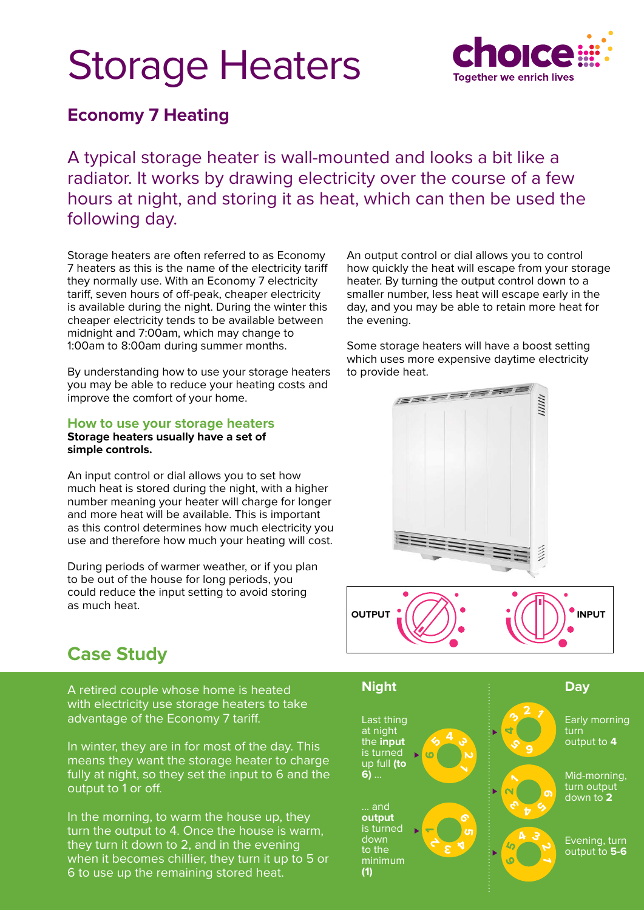# Storage Heaters



### **Economy 7 Heating**

A typical storage heater is wall-mounted and looks a bit like a radiator. It works by drawing electricity over the course of a few hours at night, and storing it as heat, which can then be used the following day.

Storage heaters are often referred to as Economy 7 heaters as this is the name of the electricity tariff they normally use. With an Economy 7 electricity tariff, seven hours of off-peak, cheaper electricity is available during the night. During the winter this cheaper electricity tends to be available between midnight and 7:00am, which may change to 1:00am to 8:00am during summer months.

By understanding how to use your storage heaters you may be able to reduce your heating costs and improve the comfort of your home.

**How to use your storage heaters**

**Storage heaters usually have a set of simple controls.** 

An input control or dial allows you to set how much heat is stored during the night, with a higher number meaning your heater will charge for longer and more heat will be available. This is important as this control determines how much electricity you use and therefore how much your heating will cost.

During periods of warmer weather, or if you plan to be out of the house for long periods, you could reduce the input setting to avoid storing as much heat.

An output control or dial allows you to control how quickly the heat will escape from your storage heater. By turning the output control down to a smaller number, less heat will escape early in the day, and you may be able to retain more heat for the evening.

Some storage heaters will have a boost setting which uses more expensive daytime electricity to provide heat.



## **Case Study**

A retired couple whose home is heated with electricity use storage heaters to take advantage of the Economy 7 tariff.

In winter, they are in for most of the day. This means they want the storage heater to charge fully at night, so they set the input to 6 and the output to 1 or off.

In the morning, to warm the house up, they turn the output to 4. Once the house is warm, they turn it down to 2, and in the evening when it becomes chillier, they turn it up to 5 or 6 to use up the remaining stored heat.